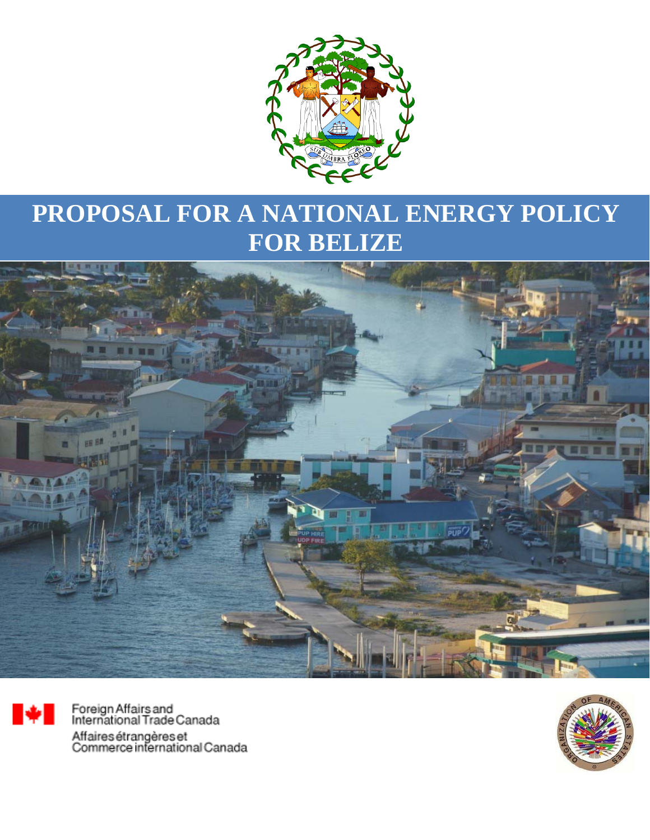

# **PROPOSAL FOR A NATIONAL ENERGY POLICY FOR BELIZE**





Foreign Affairs and<br>International Trade Canada Affaires étrangères et<br>Commerce international Canada

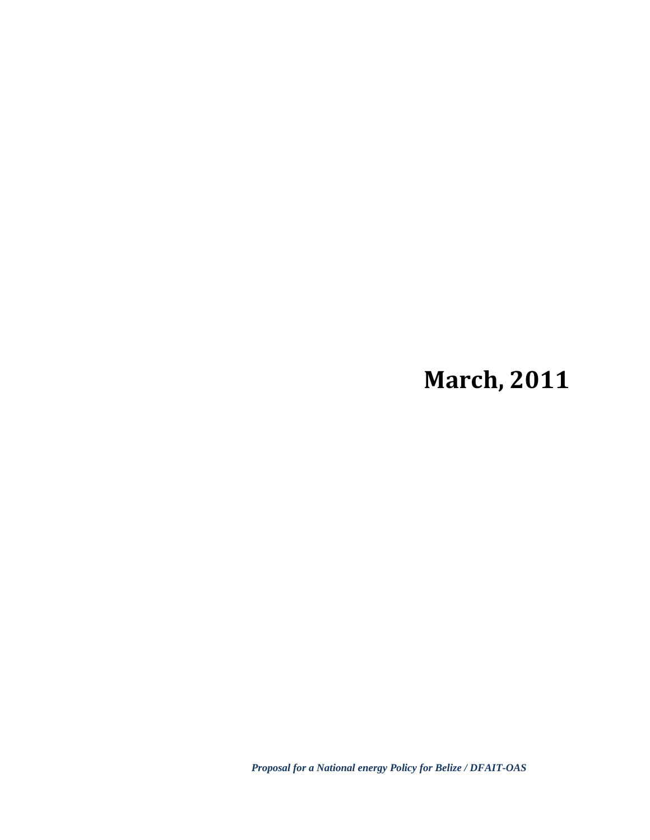# **March, 2011**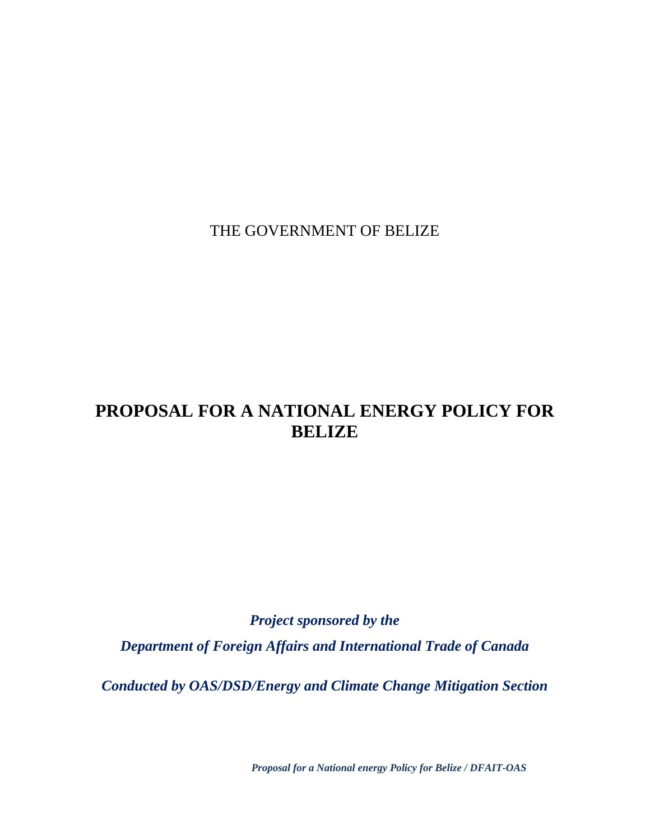THE GOVERNMENT OF BELIZE

## **PROPOSAL FOR A NATIONAL ENERGY POLICY FOR BELIZE**

*Project sponsored by the Department of Foreign Affairs and International Trade of Canada* 

*Conducted by OAS/DSD/Energy and Climate Change Mitigation Section*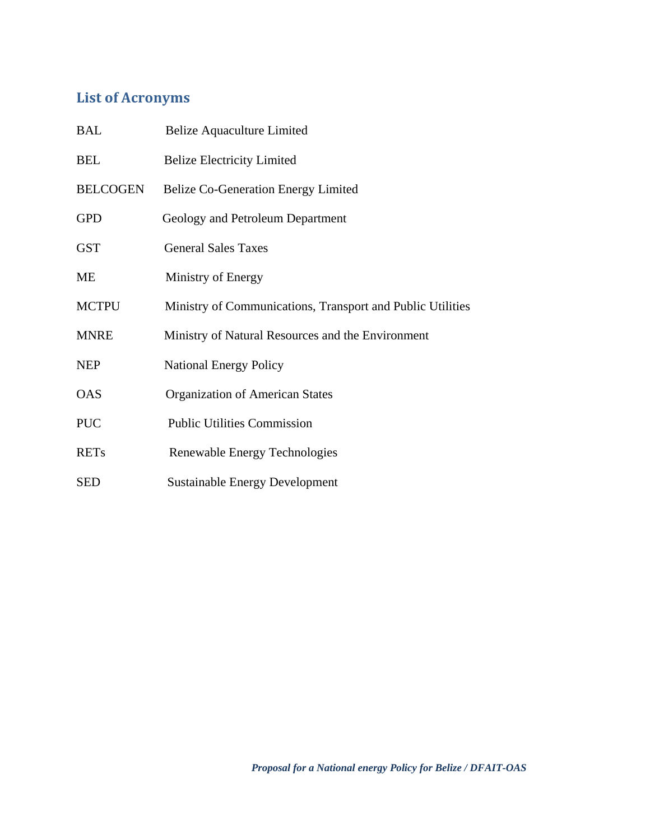## **List of Acronyms**

| <b>BAL</b>      | <b>Belize Aquaculture Limited</b>                          |
|-----------------|------------------------------------------------------------|
| <b>BEL</b>      | <b>Belize Electricity Limited</b>                          |
| <b>BELCOGEN</b> | <b>Belize Co-Generation Energy Limited</b>                 |
| <b>GPD</b>      | Geology and Petroleum Department                           |
| <b>GST</b>      | <b>General Sales Taxes</b>                                 |
| ME              | Ministry of Energy                                         |
| <b>MCTPU</b>    | Ministry of Communications, Transport and Public Utilities |
| <b>MNRE</b>     | Ministry of Natural Resources and the Environment          |
| <b>NEP</b>      | <b>National Energy Policy</b>                              |
| <b>OAS</b>      | <b>Organization of American States</b>                     |
| <b>PUC</b>      | <b>Public Utilities Commission</b>                         |
| <b>RETs</b>     | Renewable Energy Technologies                              |
| <b>SED</b>      | <b>Sustainable Energy Development</b>                      |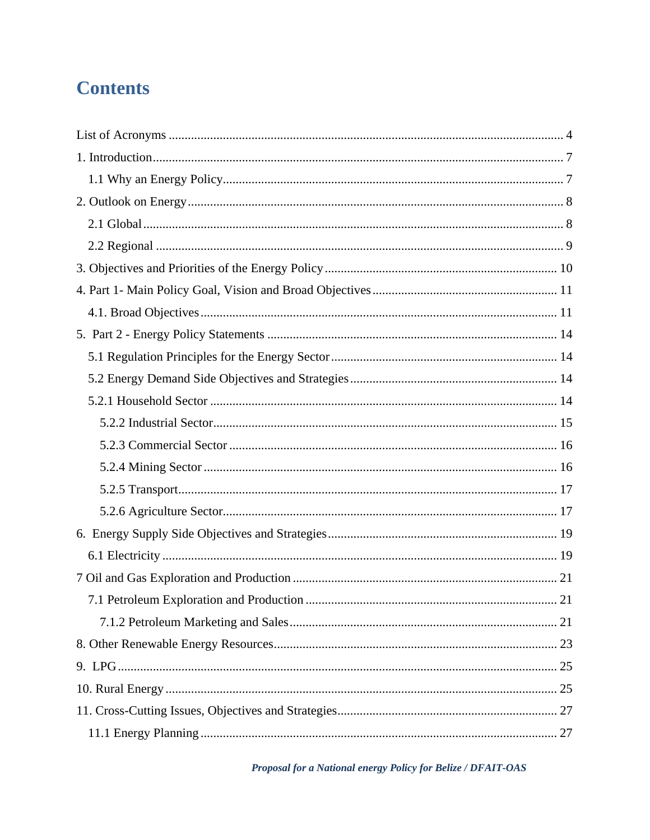## **Contents**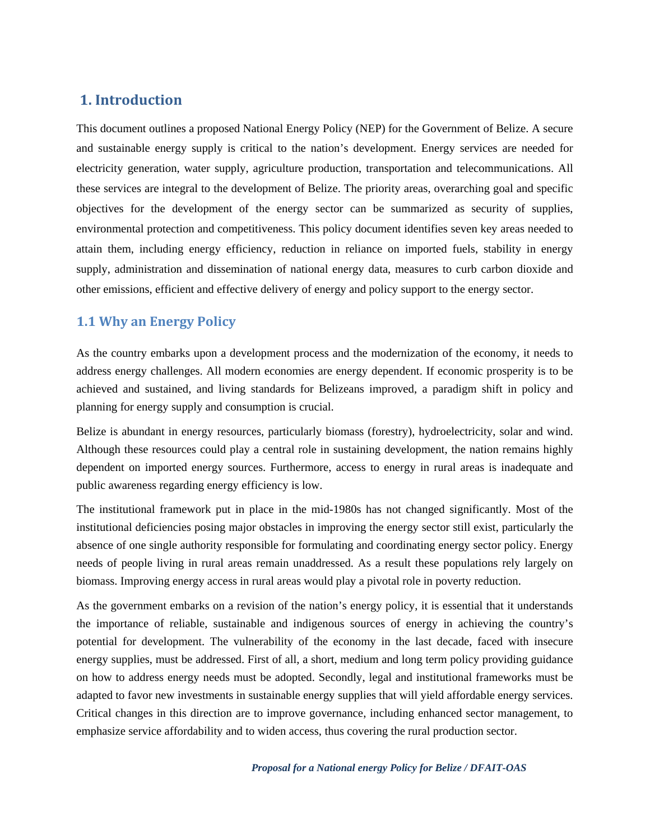## **1. Introduction**

This document outlines a proposed National Energy Policy (NEP) for the Government of Belize. A secure and sustainable energy supply is critical to the nation's development. Energy services are needed for electricity generation, water supply, agriculture production, transportation and telecommunications. All these services are integral to the development of Belize. The priority areas, overarching goal and specific objectives for the development of the energy sector can be summarized as security of supplies, environmental protection and competitiveness. This policy document identifies seven key areas needed to attain them, including energy efficiency, reduction in reliance on imported fuels, stability in energy supply, administration and dissemination of national energy data, measures to curb carbon dioxide and other emissions, efficient and effective delivery of energy and policy support to the energy sector.

#### **1.1 Why an Energy Policy**

As the country embarks upon a development process and the modernization of the economy, it needs to address energy challenges. All modern economies are energy dependent. If economic prosperity is to be achieved and sustained, and living standards for Belizeans improved, a paradigm shift in policy and planning for energy supply and consumption is crucial.

Belize is abundant in energy resources, particularly biomass (forestry), hydroelectricity, solar and wind. Although these resources could play a central role in sustaining development, the nation remains highly dependent on imported energy sources. Furthermore, access to energy in rural areas is inadequate and public awareness regarding energy efficiency is low.

The institutional framework put in place in the mid-1980s has not changed significantly. Most of the institutional deficiencies posing major obstacles in improving the energy sector still exist, particularly the absence of one single authority responsible for formulating and coordinating energy sector policy. Energy needs of people living in rural areas remain unaddressed. As a result these populations rely largely on biomass. Improving energy access in rural areas would play a pivotal role in poverty reduction.

As the government embarks on a revision of the nation's energy policy, it is essential that it understands the importance of reliable, sustainable and indigenous sources of energy in achieving the country's potential for development. The vulnerability of the economy in the last decade, faced with insecure energy supplies, must be addressed. First of all, a short, medium and long term policy providing guidance on how to address energy needs must be adopted. Secondly, legal and institutional frameworks must be adapted to favor new investments in sustainable energy supplies that will yield affordable energy services. Critical changes in this direction are to improve governance, including enhanced sector management, to emphasize service affordability and to widen access, thus covering the rural production sector.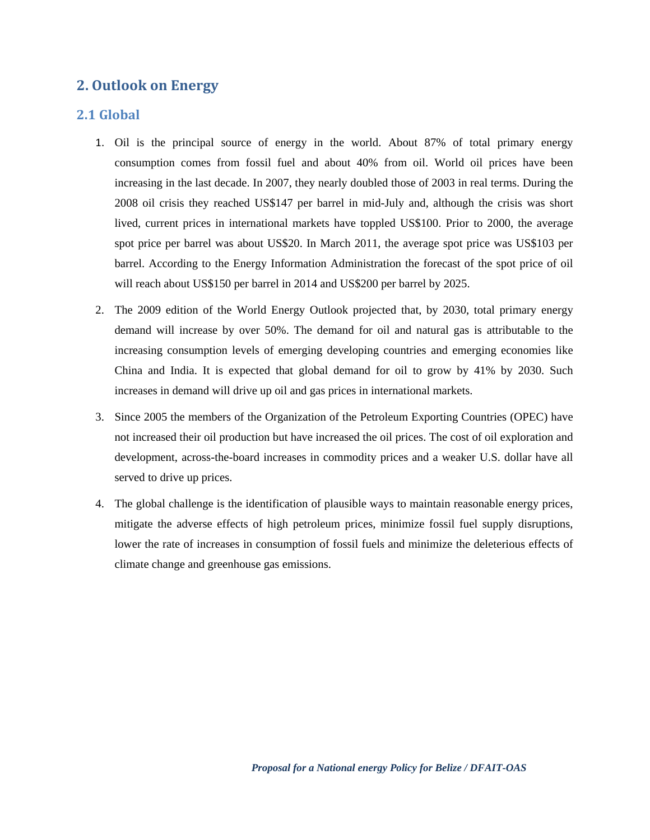## **2. Outlook on Energy**

#### **2.1 Global**

- 1. Oil is the principal source of energy in the world. About 87% of total primary energy consumption comes from fossil fuel and about 40% from oil. World oil prices have been increasing in the last decade. In 2007, they nearly doubled those of 2003 in real terms. During the 2008 oil crisis they reached US\$147 per barrel in mid-July and, although the crisis was short lived, current prices in international markets have toppled US\$100. Prior to 2000, the average spot price per barrel was about US\$20. In March 2011, the average spot price was US\$103 per barrel. According to the Energy Information Administration the forecast of the spot price of oil will reach about US\$150 per barrel in 2014 and US\$200 per barrel by 2025.
- 2. The 2009 edition of the World Energy Outlook projected that, by 2030, total primary energy demand will increase by over 50%. The demand for oil and natural gas is attributable to the increasing consumption levels of emerging developing countries and emerging economies like China and India. It is expected that global demand for oil to grow by 41% by 2030. Such increases in demand will drive up oil and gas prices in international markets.
- 3. Since 2005 the members of the Organization of the Petroleum Exporting Countries (OPEC) have not increased their oil production but have increased the oil prices. The cost of oil exploration and development, across-the-board increases in commodity prices and a weaker U.S. dollar have all served to drive up prices.
- 4. The global challenge is the identification of plausible ways to maintain reasonable energy prices, mitigate the adverse effects of high petroleum prices, minimize fossil fuel supply disruptions, lower the rate of increases in consumption of fossil fuels and minimize the deleterious effects of climate change and greenhouse gas emissions.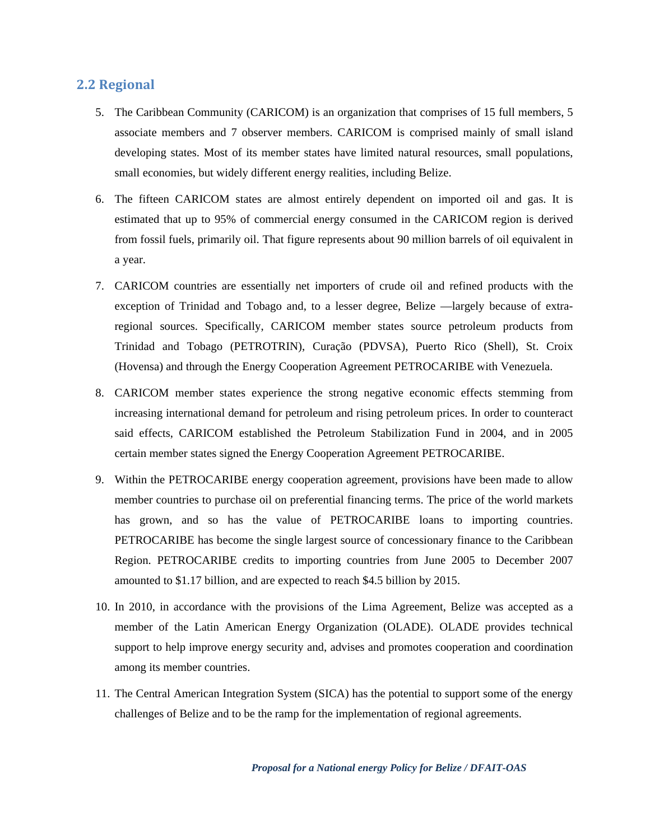#### **2.2 Regional**

- 5. The Caribbean Community (CARICOM) is an organization that comprises of 15 full members, 5 associate members and 7 observer members. CARICOM is comprised mainly of small island developing states. Most of its member states have limited natural resources, small populations, small economies, but widely different energy realities, including Belize.
- 6. The fifteen CARICOM states are almost entirely dependent on imported oil and gas. It is estimated that up to 95% of commercial energy consumed in the CARICOM region is derived from fossil fuels, primarily oil. That figure represents about 90 million barrels of oil equivalent in a year.
- 7. CARICOM countries are essentially net importers of crude oil and refined products with the exception of Trinidad and Tobago and, to a lesser degree, Belize —largely because of extraregional sources. Specifically, CARICOM member states source petroleum products from Trinidad and Tobago (PETROTRIN), Curação (PDVSA), Puerto Rico (Shell), St. Croix (Hovensa) and through the Energy Cooperation Agreement PETROCARIBE with Venezuela.
- 8. CARICOM member states experience the strong negative economic effects stemming from increasing international demand for petroleum and rising petroleum prices. In order to counteract said effects, CARICOM established the Petroleum Stabilization Fund in 2004, and in 2005 certain member states signed the Energy Cooperation Agreement PETROCARIBE.
- 9. Within the PETROCARIBE energy cooperation agreement, provisions have been made to allow member countries to purchase oil on preferential financing terms. The price of the world markets has grown, and so has the value of PETROCARIBE loans to importing countries. PETROCARIBE has become the single largest source of concessionary finance to the Caribbean Region. PETROCARIBE credits to importing countries from June 2005 to December 2007 amounted to \$1.17 billion, and are expected to reach \$4.5 billion by 2015.
- 10. In 2010, in accordance with the provisions of the Lima Agreement, Belize was accepted as a member of the Latin American Energy Organization (OLADE). OLADE provides technical support to help improve energy security and, advises and promotes cooperation and coordination among its member countries.
- 11. The Central American Integration System (SICA) has the potential to support some of the energy challenges of Belize and to be the ramp for the implementation of regional agreements.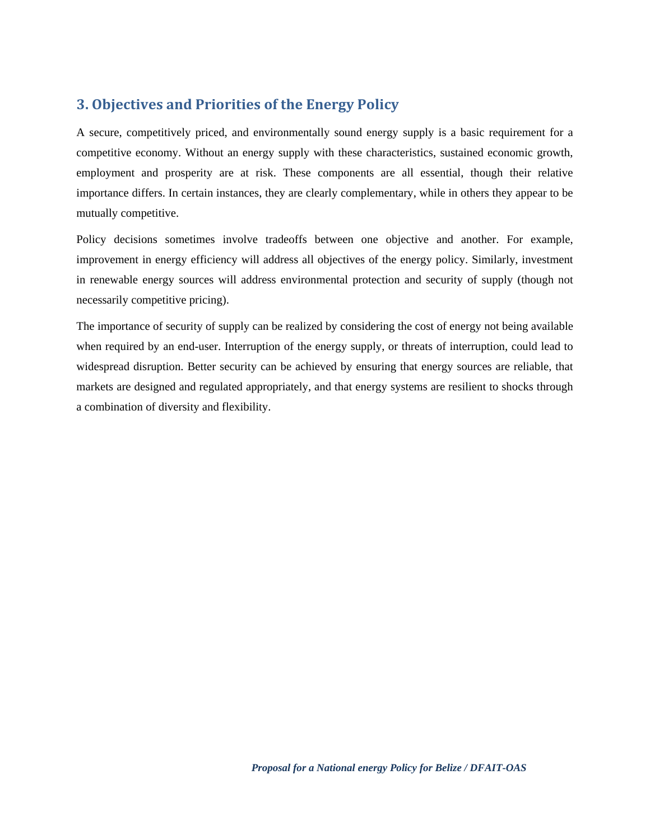## **3. Objectives and Priorities of the Energy Policy**

A secure, competitively priced, and environmentally sound energy supply is a basic requirement for a competitive economy. Without an energy supply with these characteristics, sustained economic growth, employment and prosperity are at risk. These components are all essential, though their relative importance differs. In certain instances, they are clearly complementary, while in others they appear to be mutually competitive.

Policy decisions sometimes involve tradeoffs between one objective and another. For example, improvement in energy efficiency will address all objectives of the energy policy. Similarly, investment in renewable energy sources will address environmental protection and security of supply (though not necessarily competitive pricing).

The importance of security of supply can be realized by considering the cost of energy not being available when required by an end-user. Interruption of the energy supply, or threats of interruption, could lead to widespread disruption. Better security can be achieved by ensuring that energy sources are reliable, that markets are designed and regulated appropriately, and that energy systems are resilient to shocks through a combination of diversity and flexibility.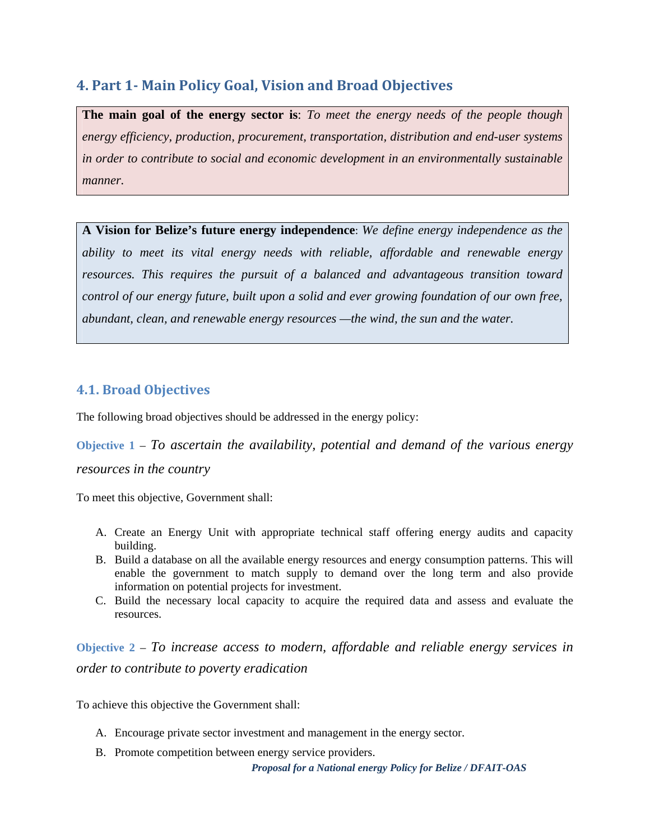## **4. Part 1 Main Policy Goal, Vision and Broad Objectives**

**The main goal of the energy sector is**: *To meet the energy needs of the people though energy efficiency, production, procurement, transportation, distribution and end-user systems in order to contribute to social and economic development in an environmentally sustainable manner.* 

**A Vision for Belize's future energy independence**: *We define energy independence as the ability to meet its vital energy needs with reliable, affordable and renewable energy resources. This requires the pursuit of a balanced and advantageous transition toward control of our energy future, built upon a solid and ever growing foundation of our own free, abundant, clean, and renewable energy resources —the wind, the sun and the water.*

## **4.1. Broad Objectives**

The following broad objectives should be addressed in the energy policy:

**Objective 1** – *To ascertain the availability, potential and demand of the various energy resources in the country*

To meet this objective, Government shall:

- A. Create an Energy Unit with appropriate technical staff offering energy audits and capacity building.
- B. Build a database on all the available energy resources and energy consumption patterns. This will enable the government to match supply to demand over the long term and also provide information on potential projects for investment.
- C. Build the necessary local capacity to acquire the required data and assess and evaluate the resources.

**Objective 2** – *To increase access to modern, affordable and reliable energy services in order to contribute to poverty eradication* 

To achieve this objective the Government shall:

- A. Encourage private sector investment and management in the energy sector.
- B. Promote competition between energy service providers.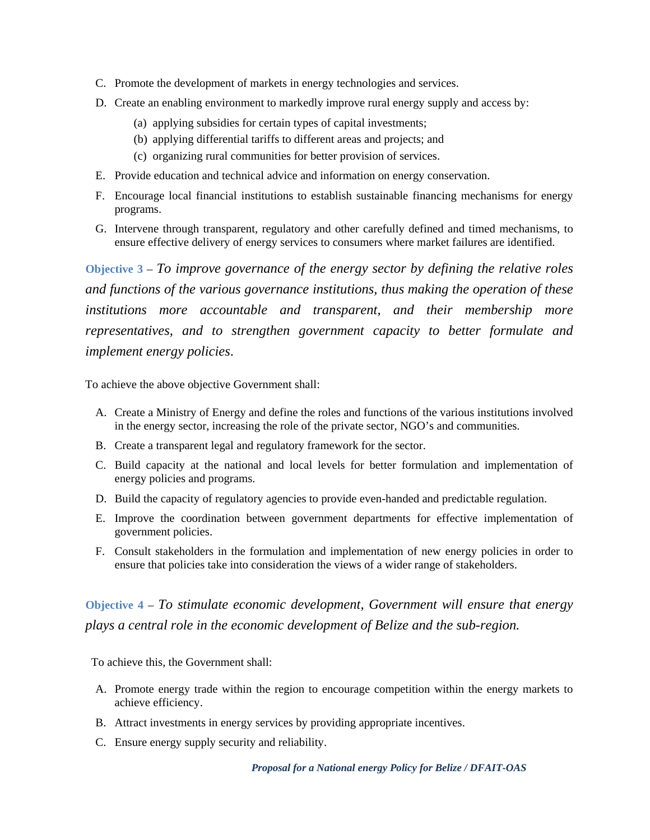- C. Promote the development of markets in energy technologies and services.
- D. Create an enabling environment to markedly improve rural energy supply and access by:
	- (a) applying subsidies for certain types of capital investments;
	- (b) applying differential tariffs to different areas and projects; and
	- (c) organizing rural communities for better provision of services.
- E. Provide education and technical advice and information on energy conservation.
- F. Encourage local financial institutions to establish sustainable financing mechanisms for energy programs.
- G. Intervene through transparent, regulatory and other carefully defined and timed mechanisms, to ensure effective delivery of energy services to consumers where market failures are identified.

**Objective 3** – *To improve governance of the energy sector by defining the relative roles and functions of the various governance institutions, thus making the operation of these institutions more accountable and transparent, and their membership more representatives, and to strengthen government capacity to better formulate and implement energy policies*.

To achieve the above objective Government shall:

- A. Create a Ministry of Energy and define the roles and functions of the various institutions involved in the energy sector, increasing the role of the private sector, NGO's and communities.
- B. Create a transparent legal and regulatory framework for the sector.
- C. Build capacity at the national and local levels for better formulation and implementation of energy policies and programs.
- D. Build the capacity of regulatory agencies to provide even-handed and predictable regulation.
- E. Improve the coordination between government departments for effective implementation of government policies.
- F. Consult stakeholders in the formulation and implementation of new energy policies in order to ensure that policies take into consideration the views of a wider range of stakeholders.

**Objective 4** – *To stimulate economic development, Government will ensure that energy plays a central role in the economic development of Belize and the sub-region.*

To achieve this, the Government shall:

- A. Promote energy trade within the region to encourage competition within the energy markets to achieve efficiency.
- B. Attract investments in energy services by providing appropriate incentives.
- C. Ensure energy supply security and reliability.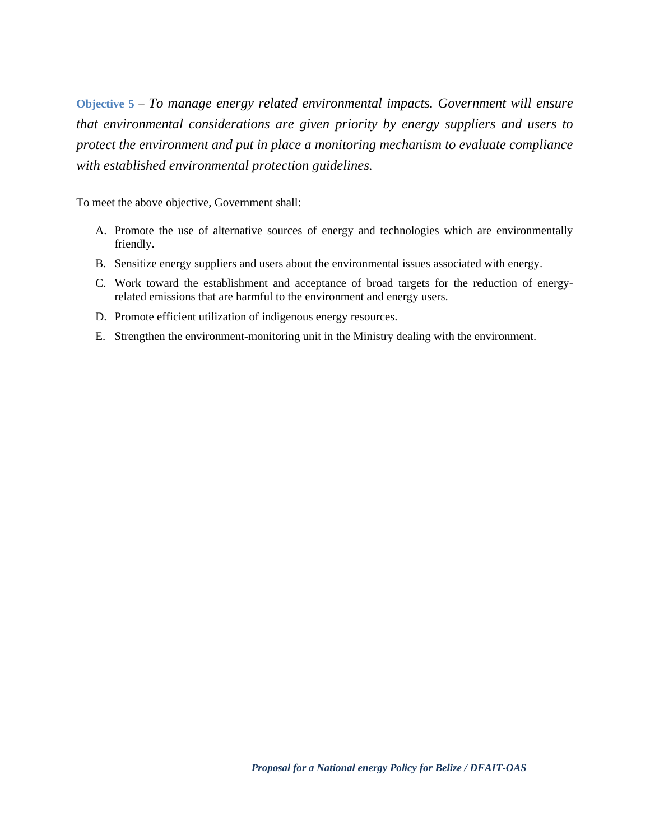**Objective 5** – *To manage energy related environmental impacts. Government will ensure that environmental considerations are given priority by energy suppliers and users to protect the environment and put in place a monitoring mechanism to evaluate compliance with established environmental protection guidelines.* 

To meet the above objective, Government shall:

- A. Promote the use of alternative sources of energy and technologies which are environmentally friendly.
- B. Sensitize energy suppliers and users about the environmental issues associated with energy.
- C. Work toward the establishment and acceptance of broad targets for the reduction of energyrelated emissions that are harmful to the environment and energy users.
- D. Promote efficient utilization of indigenous energy resources.
- E. Strengthen the environment-monitoring unit in the Ministry dealing with the environment.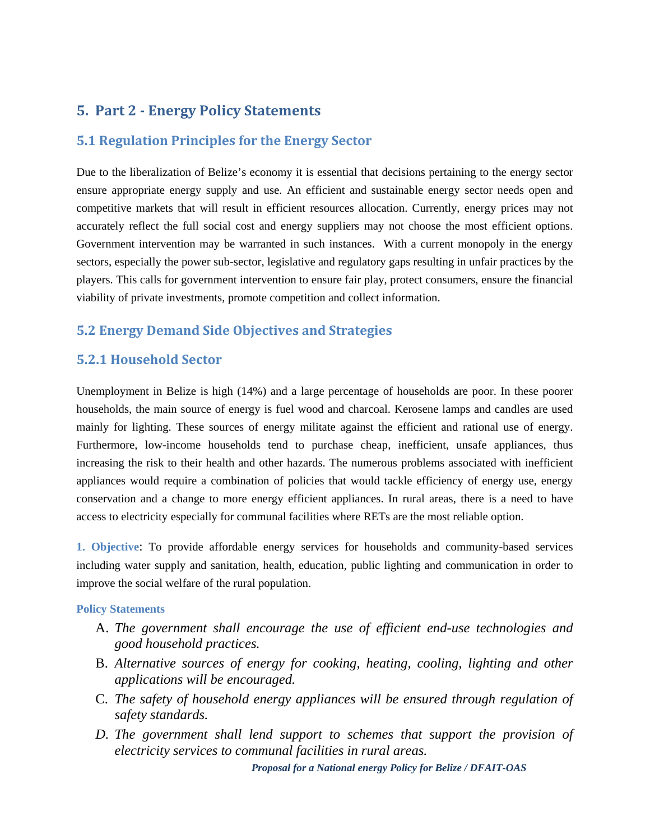## **5. Part 2 Energy Policy Statements**

#### **5.1 Regulation Principles for the Energy Sector**

Due to the liberalization of Belize's economy it is essential that decisions pertaining to the energy sector ensure appropriate energy supply and use. An efficient and sustainable energy sector needs open and competitive markets that will result in efficient resources allocation. Currently, energy prices may not accurately reflect the full social cost and energy suppliers may not choose the most efficient options. Government intervention may be warranted in such instances. With a current monopoly in the energy sectors, especially the power sub-sector, legislative and regulatory gaps resulting in unfair practices by the players. This calls for government intervention to ensure fair play, protect consumers, ensure the financial viability of private investments, promote competition and collect information.

#### **5.2 Energy Demand Side Objectives and Strategies**

#### **5.2.1 Household Sector**

Unemployment in Belize is high (14%) and a large percentage of households are poor. In these poorer households, the main source of energy is fuel wood and charcoal. Kerosene lamps and candles are used mainly for lighting. These sources of energy militate against the efficient and rational use of energy. Furthermore, low-income households tend to purchase cheap, inefficient, unsafe appliances, thus increasing the risk to their health and other hazards. The numerous problems associated with inefficient appliances would require a combination of policies that would tackle efficiency of energy use, energy conservation and a change to more energy efficient appliances. In rural areas, there is a need to have access to electricity especially for communal facilities where RETs are the most reliable option.

**1. Objective**: To provide affordable energy services for households and community-based services including water supply and sanitation, health, education, public lighting and communication in order to improve the social welfare of the rural population.

#### **Policy Statements**

- A. *The government shall encourage the use of efficient end-use technologies and good household practices.*
- B. *Alternative sources of energy for cooking, heating, cooling, lighting and other applications will be encouraged.*
- C. *The safety of household energy appliances will be ensured through regulation of safety standards.*
- *D. The government shall lend support to schemes that support the provision of electricity services to communal facilities in rural areas.*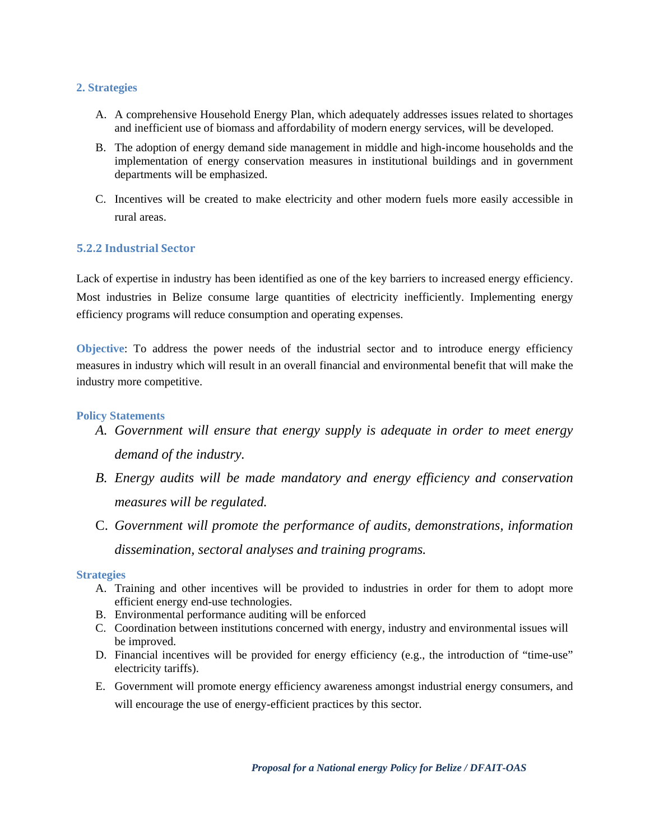#### **2. Strategies**

- A. A comprehensive Household Energy Plan, which adequately addresses issues related to shortages and inefficient use of biomass and affordability of modern energy services, will be developed.
- B. The adoption of energy demand side management in middle and high-income households and the implementation of energy conservation measures in institutional buildings and in government departments will be emphasized.
- C. Incentives will be created to make electricity and other modern fuels more easily accessible in rural areas.

#### **5.2.2 Industrial Sector**

Lack of expertise in industry has been identified as one of the key barriers to increased energy efficiency. Most industries in Belize consume large quantities of electricity inefficiently. Implementing energy efficiency programs will reduce consumption and operating expenses.

**Objective**: To address the power needs of the industrial sector and to introduce energy efficiency measures in industry which will result in an overall financial and environmental benefit that will make the industry more competitive.

#### **Policy Statements**

- *A. Government will ensure that energy supply is adequate in order to meet energy demand of the industry.*
- *B. Energy audits will be made mandatory and energy efficiency and conservation measures will be regulated.*
- C. *Government will promote the performance of audits, demonstrations, information dissemination, sectoral analyses and training programs.*

#### **Strategies**

- A. Training and other incentives will be provided to industries in order for them to adopt more efficient energy end-use technologies.
- B. Environmental performance auditing will be enforced
- C. Coordination between institutions concerned with energy, industry and environmental issues will be improved.
- D. Financial incentives will be provided for energy efficiency (e.g., the introduction of "time-use" electricity tariffs).
- E. Government will promote energy efficiency awareness amongst industrial energy consumers, and will encourage the use of energy-efficient practices by this sector.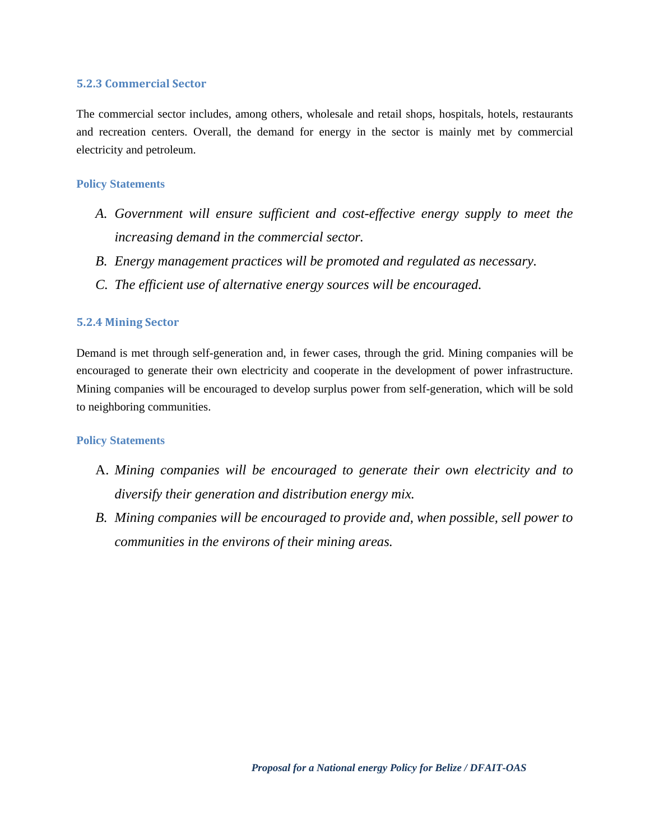#### **5.2.3 Commercial Sector**

The commercial sector includes, among others, wholesale and retail shops, hospitals, hotels, restaurants and recreation centers. Overall, the demand for energy in the sector is mainly met by commercial electricity and petroleum.

#### **Policy Statements**

- *A. Government will ensure sufficient and cost-effective energy supply to meet the increasing demand in the commercial sector.*
- *B. Energy management practices will be promoted and regulated as necessary.*
- *C. The efficient use of alternative energy sources will be encouraged.*

#### **5.2.4 Mining Sector**

Demand is met through self-generation and, in fewer cases, through the grid. Mining companies will be encouraged to generate their own electricity and cooperate in the development of power infrastructure. Mining companies will be encouraged to develop surplus power from self-generation, which will be sold to neighboring communities.

- A. *Mining companies will be encouraged to generate their own electricity and to diversify their generation and distribution energy mix.*
- *B. Mining companies will be encouraged to provide and, when possible, sell power to communities in the environs of their mining areas.*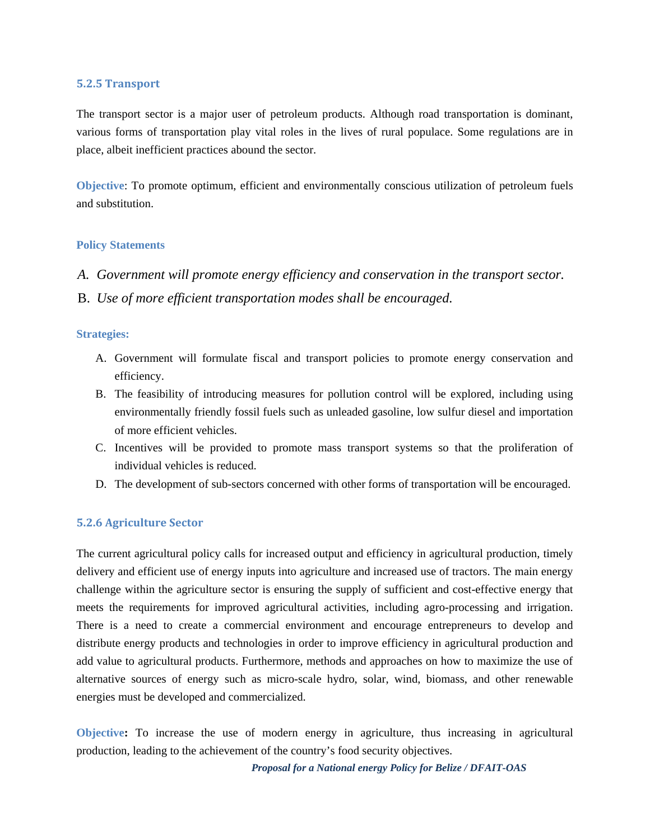#### **5.2.5 Transport**

The transport sector is a major user of petroleum products. Although road transportation is dominant, various forms of transportation play vital roles in the lives of rural populace. Some regulations are in place, albeit inefficient practices abound the sector.

**Objective**: To promote optimum, efficient and environmentally conscious utilization of petroleum fuels and substitution.

#### **Policy Statements**

- *A. Government will promote energy efficiency and conservation in the transport sector.*
- B. *Use of more efficient transportation modes shall be encouraged.*

#### **Strategies:**

- A. Government will formulate fiscal and transport policies to promote energy conservation and efficiency.
- B. The feasibility of introducing measures for pollution control will be explored, including using environmentally friendly fossil fuels such as unleaded gasoline, low sulfur diesel and importation of more efficient vehicles.
- C. Incentives will be provided to promote mass transport systems so that the proliferation of individual vehicles is reduced.
- D. The development of sub-sectors concerned with other forms of transportation will be encouraged.

#### **5.2.6 Agriculture Sector**

The current agricultural policy calls for increased output and efficiency in agricultural production, timely delivery and efficient use of energy inputs into agriculture and increased use of tractors. The main energy challenge within the agriculture sector is ensuring the supply of sufficient and cost-effective energy that meets the requirements for improved agricultural activities, including agro-processing and irrigation. There is a need to create a commercial environment and encourage entrepreneurs to develop and distribute energy products and technologies in order to improve efficiency in agricultural production and add value to agricultural products. Furthermore, methods and approaches on how to maximize the use of alternative sources of energy such as micro-scale hydro, solar, wind, biomass, and other renewable energies must be developed and commercialized.

**Objective:** To increase the use of modern energy in agriculture, thus increasing in agricultural production, leading to the achievement of the country's food security objectives.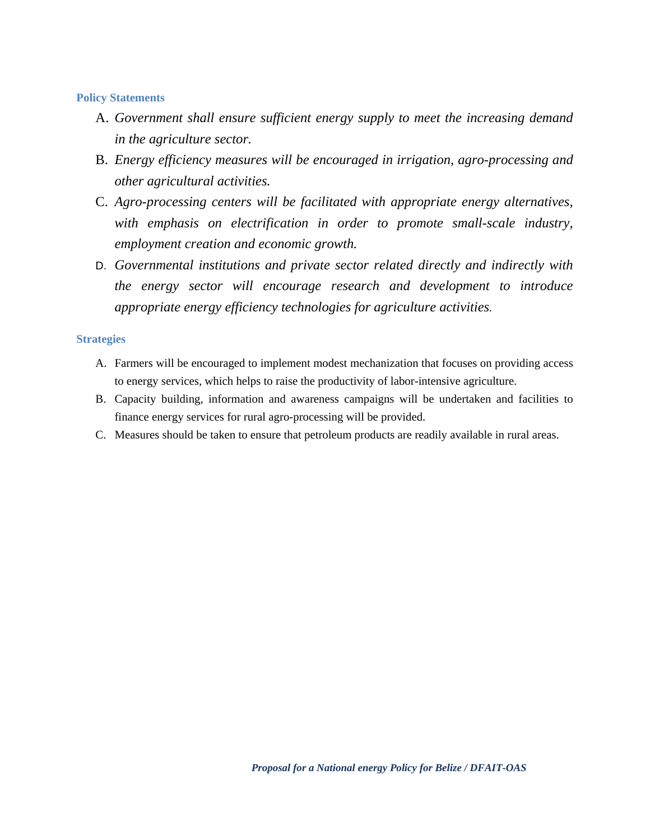#### **Policy Statements**

- A. *Government shall ensure sufficient energy supply to meet the increasing demand in the agriculture sector.*
- B. *Energy efficiency measures will be encouraged in irrigation, agro-processing and other agricultural activities.*
- C. *Agro-processing centers will be facilitated with appropriate energy alternatives, with emphasis on electrification in order to promote small-scale industry, employment creation and economic growth.*
- D. *Governmental institutions and private sector related directly and indirectly with the energy sector will encourage research and development to introduce appropriate energy efficiency technologies for agriculture activities.*

#### **Strategies**

- A. Farmers will be encouraged to implement modest mechanization that focuses on providing access to energy services, which helps to raise the productivity of labor-intensive agriculture.
- B. Capacity building, information and awareness campaigns will be undertaken and facilities to finance energy services for rural agro-processing will be provided.
- C. Measures should be taken to ensure that petroleum products are readily available in rural areas.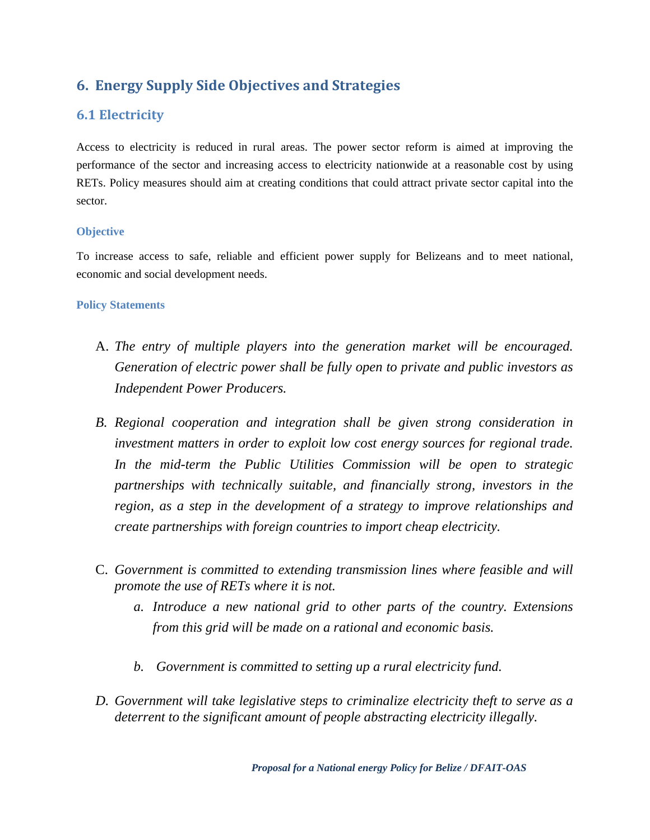## **6. Energy Supply Side Objectives and Strategies**

## **6.1 Electricity**

Access to electricity is reduced in rural areas. The power sector reform is aimed at improving the performance of the sector and increasing access to electricity nationwide at a reasonable cost by using RETs. Policy measures should aim at creating conditions that could attract private sector capital into the sector.

#### **Objective**

To increase access to safe, reliable and efficient power supply for Belizeans and to meet national, economic and social development needs.

- A. *The entry of multiple players into the generation market will be encouraged. Generation of electric power shall be fully open to private and public investors as Independent Power Producers.*
- *B. Regional cooperation and integration shall be given strong consideration in investment matters in order to exploit low cost energy sources for regional trade. In the mid-term the Public Utilities Commission will be open to strategic partnerships with technically suitable, and financially strong, investors in the region, as a step in the development of a strategy to improve relationships and create partnerships with foreign countries to import cheap electricity.*
- C. *Government is committed to extending transmission lines where feasible and will promote the use of RETs where it is not.*
	- *a. Introduce a new national grid to other parts of the country. Extensions from this grid will be made on a rational and economic basis.*
	- *b. Government is committed to setting up a rural electricity fund.*
- *D. Government will take legislative steps to criminalize electricity theft to serve as a deterrent to the significant amount of people abstracting electricity illegally.*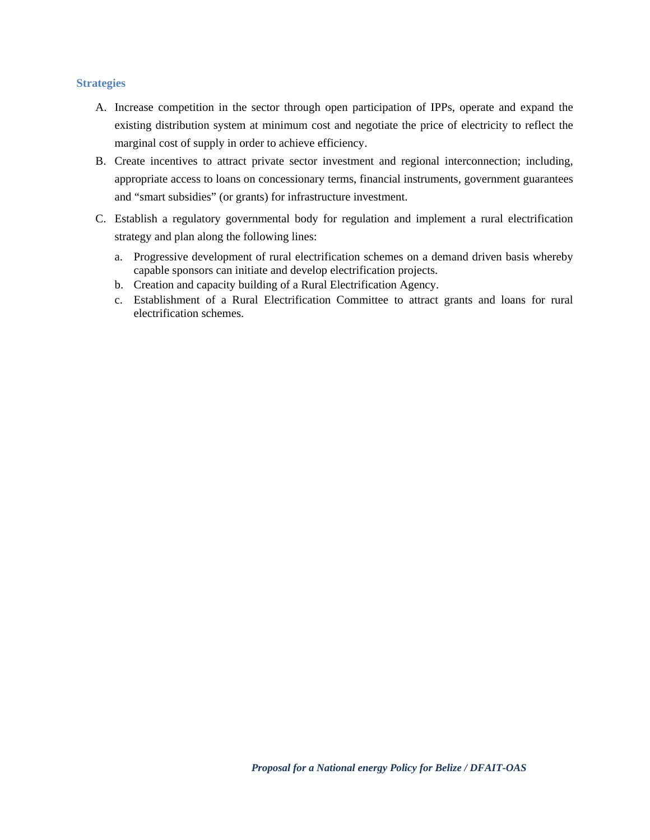#### **Strategies**

- A. Increase competition in the sector through open participation of IPPs, operate and expand the existing distribution system at minimum cost and negotiate the price of electricity to reflect the marginal cost of supply in order to achieve efficiency.
- B. Create incentives to attract private sector investment and regional interconnection; including, appropriate access to loans on concessionary terms, financial instruments, government guarantees and "smart subsidies" (or grants) for infrastructure investment.
- C. Establish a regulatory governmental body for regulation and implement a rural electrification strategy and plan along the following lines:
	- a. Progressive development of rural electrification schemes on a demand driven basis whereby capable sponsors can initiate and develop electrification projects.
	- b. Creation and capacity building of a Rural Electrification Agency.
	- c. Establishment of a Rural Electrification Committee to attract grants and loans for rural electrification schemes.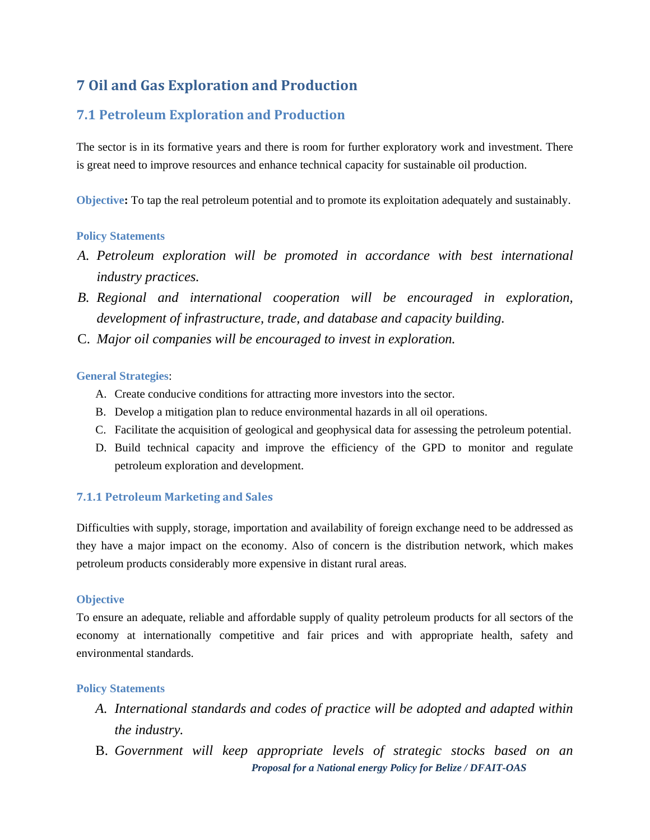## **7 Oil and Gas Exploration and Production**

## **7.1 Petroleum Exploration and Production**

The sector is in its formative years and there is room for further exploratory work and investment. There is great need to improve resources and enhance technical capacity for sustainable oil production.

**Objective:** To tap the real petroleum potential and to promote its exploitation adequately and sustainably.

#### **Policy Statements**

- *A. Petroleum exploration will be promoted in accordance with best international industry practices.*
- *B. Regional and international cooperation will be encouraged in exploration, development of infrastructure, trade, and database and capacity building.*
- C. *Major oil companies will be encouraged to invest in exploration.*

#### **General Strategies**:

- A. Create conducive conditions for attracting more investors into the sector.
- B. Develop a mitigation plan to reduce environmental hazards in all oil operations.
- C. Facilitate the acquisition of geological and geophysical data for assessing the petroleum potential.
- D. Build technical capacity and improve the efficiency of the GPD to monitor and regulate petroleum exploration and development.

#### **7.1.1 Petroleum Marketing and Sales**

Difficulties with supply, storage, importation and availability of foreign exchange need to be addressed as they have a major impact on the economy. Also of concern is the distribution network, which makes petroleum products considerably more expensive in distant rural areas.

#### **Objective**

To ensure an adequate, reliable and affordable supply of quality petroleum products for all sectors of the economy at internationally competitive and fair prices and with appropriate health, safety and environmental standards.

- *A. International standards and codes of practice will be adopted and adapted within the industry.*
- *Proposal for a National energy Policy for Belize / DFAIT-OAS*  B. *Government will keep appropriate levels of strategic stocks based on an*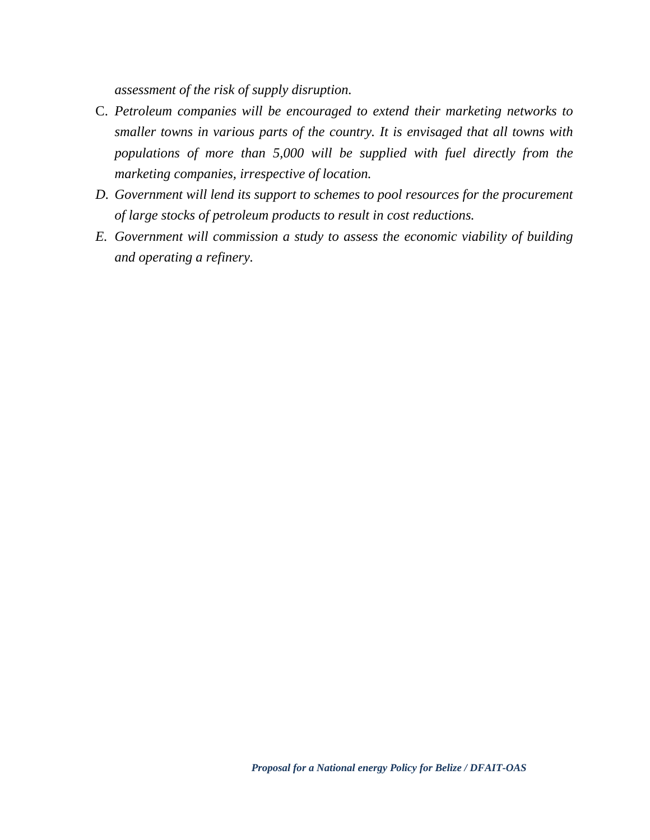*assessment of the risk of supply disruption.* 

- C. *Petroleum companies will be encouraged to extend their marketing networks to smaller towns in various parts of the country. It is envisaged that all towns with populations of more than 5,000 will be supplied with fuel directly from the marketing companies, irrespective of location.*
- *D. Government will lend its support to schemes to pool resources for the procurement of large stocks of petroleum products to result in cost reductions.*
- *E. Government will commission a study to assess the economic viability of building and operating a refinery.*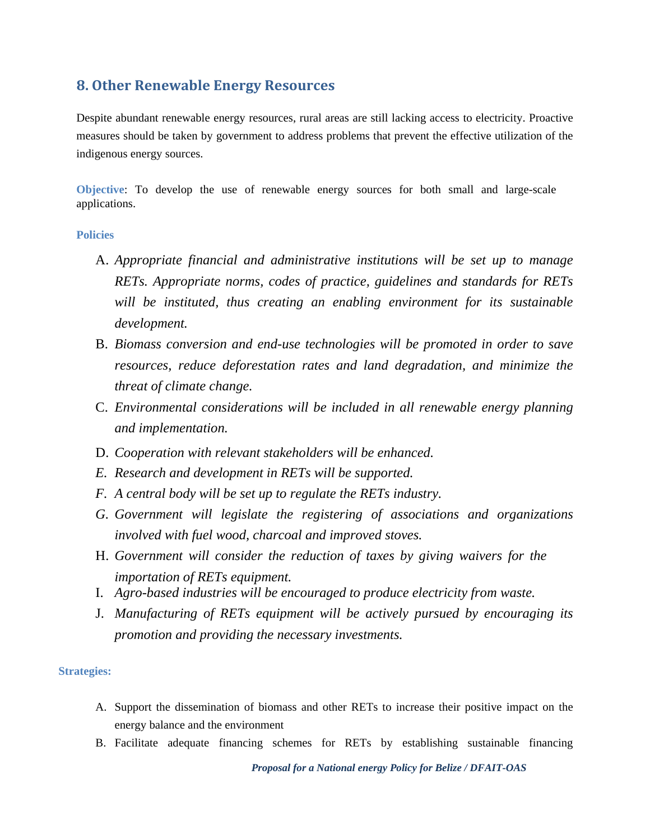## **8. Other Renewable Energy Resources**

Despite abundant renewable energy resources, rural areas are still lacking access to electricity. Proactive measures should be taken by government to address problems that prevent the effective utilization of the indigenous energy sources.

**Objective**: To develop the use of renewable energy sources for both small and large-scale applications.

#### **Policies**

- A. *Appropriate financial and administrative institutions will be set up to manage RETs. Appropriate norms, codes of practice, guidelines and standards for RETs will be instituted, thus creating an enabling environment for its sustainable development.*
- B. *Biomass conversion and end-use technologies will be promoted in order to save resources, reduce deforestation rates and land degradation, and minimize the threat of climate change.*
- C. *Environmental considerations will be included in all renewable energy planning and implementation.*
- D. *Cooperation with relevant stakeholders will be enhanced.*
- *E. Research and development in RETs will be supported.*
- *F. A central body will be set up to regulate the RETs industry.*
- *G. Government will legislate the registering of associations and organizations involved with fuel wood, charcoal and improved stoves.*
- H. *Government will consider the reduction of taxes by giving waivers for the importation of RETs equipment.*
- I. *Agro-based industries will be encouraged to produce electricity from waste.*
- J. *Manufacturing of RETs equipment will be actively pursued by encouraging its promotion and providing the necessary investments.*

#### **Strategies:**

- A. Support the dissemination of biomass and other RETs to increase their positive impact on the energy balance and the environment
- B. Facilitate adequate financing schemes for RETs by establishing sustainable financing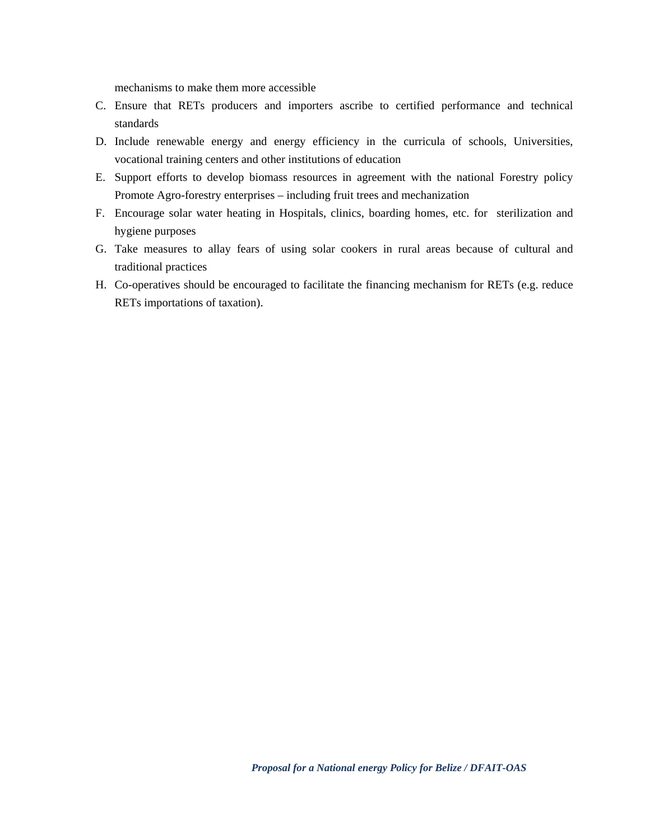mechanisms to make them more accessible

- C. Ensure that RETs producers and importers ascribe to certified performance and technical standards
- D. Include renewable energy and energy efficiency in the curricula of schools, Universities, vocational training centers and other institutions of education
- E. Support efforts to develop biomass resources in agreement with the national Forestry policy Promote Agro-forestry enterprises – including fruit trees and mechanization
- F. Encourage solar water heating in Hospitals, clinics, boarding homes, etc. for sterilization and hygiene purposes
- G. Take measures to allay fears of using solar cookers in rural areas because of cultural and traditional practices
- H. Co-operatives should be encouraged to facilitate the financing mechanism for RETs (e.g. reduce RETs importations of taxation).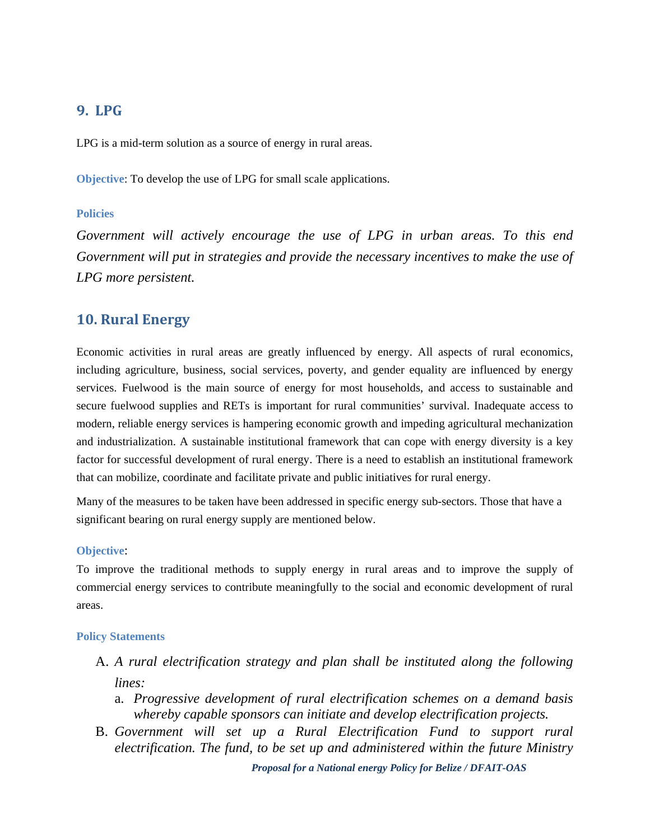## **9. LPG**

LPG is a mid-term solution as a source of energy in rural areas.

**Objective**: To develop the use of LPG for small scale applications.

#### **Policies**

*Government will actively encourage the use of LPG in urban areas. To this end Government will put in strategies and provide the necessary incentives to make the use of LPG more persistent.* 

## **10. Rural Energy**

Economic activities in rural areas are greatly influenced by energy. All aspects of rural economics, including agriculture, business, social services, poverty, and gender equality are influenced by energy services. Fuelwood is the main source of energy for most households, and access to sustainable and secure fuelwood supplies and RETs is important for rural communities' survival. Inadequate access to modern, reliable energy services is hampering economic growth and impeding agricultural mechanization and industrialization. A sustainable institutional framework that can cope with energy diversity is a key factor for successful development of rural energy. There is a need to establish an institutional framework that can mobilize, coordinate and facilitate private and public initiatives for rural energy.

Many of the measures to be taken have been addressed in specific energy sub-sectors. Those that have a significant bearing on rural energy supply are mentioned below.

#### **Objective**:

To improve the traditional methods to supply energy in rural areas and to improve the supply of commercial energy services to contribute meaningfully to the social and economic development of rural areas.

#### **Policy Statements**

- A. *A rural electrification strategy and plan shall be instituted along the following lines:* 
	- a. *Progressive development of rural electrification schemes on a demand basis whereby capable sponsors can initiate and develop electrification projects.*
- B. *Government will set up a Rural Electrification Fund to support rural electrification. The fund, to be set up and administered within the future Ministry*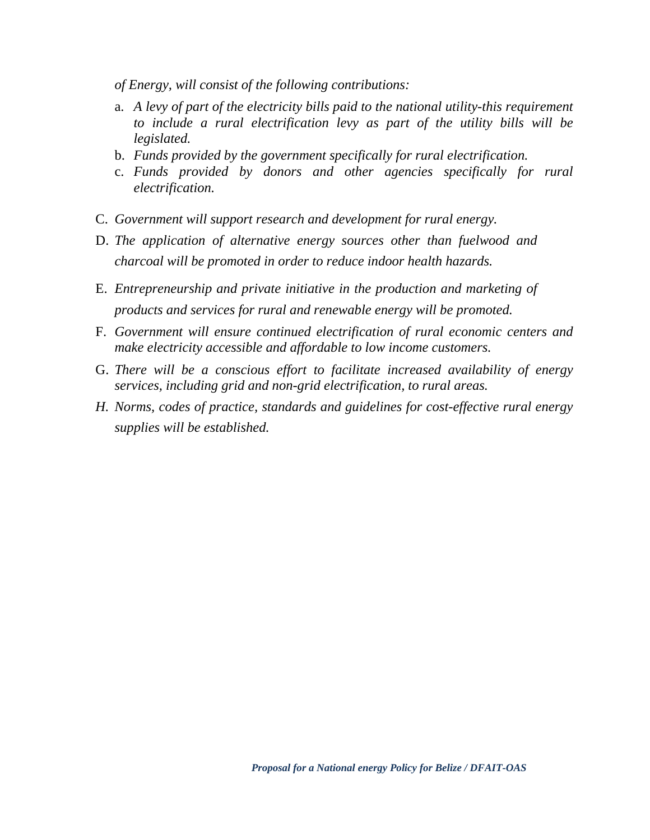*of Energy, will consist of the following contributions:* 

- a. *A levy of part of the electricity bills paid to the national utility-this requirement to include a rural electrification levy as part of the utility bills will be legislated.*
- b. *Funds provided by the government specifically for rural electrification.*
- c. *Funds provided by donors and other agencies specifically for rural electrification.*
- C. *Government will support research and development for rural energy.*
- D. *The application of alternative energy sources other than fuelwood and charcoal will be promoted in order to reduce indoor health hazards.*
- E. *Entrepreneurship and private initiative in the production and marketing of products and services for rural and renewable energy will be promoted.*
- F. *Government will ensure continued electrification of rural economic centers and make electricity accessible and affordable to low income customers.*
- G. *There will be a conscious effort to facilitate increased availability of energy services, including grid and non-grid electrification, to rural areas.*
- *H. Norms, codes of practice, standards and guidelines for cost-effective rural energy supplies will be established.*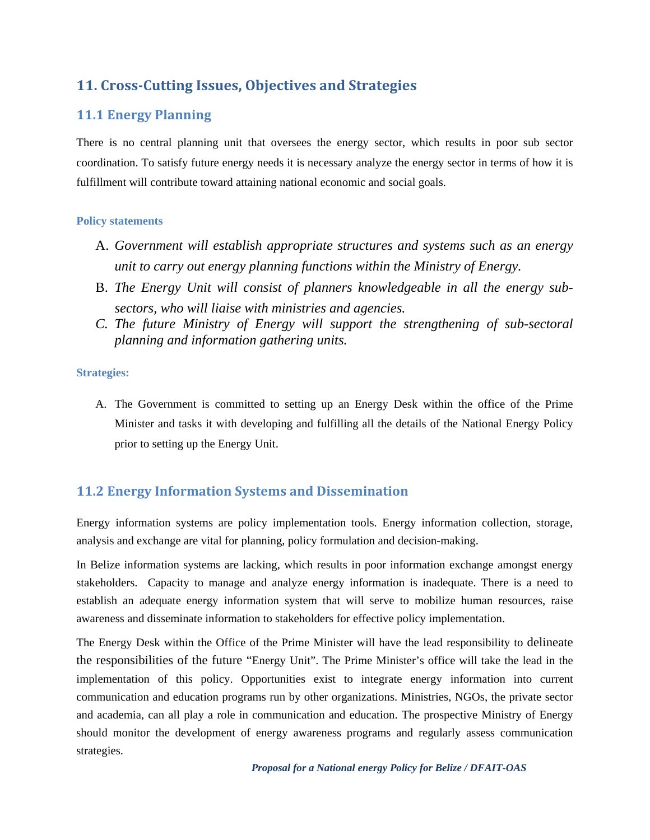## **11. CrossCutting Issues, Objectives and Strategies**

## **11.1 Energy Planning**

There is no central planning unit that oversees the energy sector, which results in poor sub sector coordination. To satisfy future energy needs it is necessary analyze the energy sector in terms of how it is fulfillment will contribute toward attaining national economic and social goals.

#### **Policy statements**

- A. *Government will establish appropriate structures and systems such as an energy unit to carry out energy planning functions within the Ministry of Energy.*
- B. *The Energy Unit will consist of planners knowledgeable in all the energy subsectors, who will liaise with ministries and agencies.*
- *C. The future Ministry of Energy will support the strengthening of sub-sectoral planning and information gathering units.*

#### **Strategies:**

A. The Government is committed to setting up an Energy Desk within the office of the Prime Minister and tasks it with developing and fulfilling all the details of the National Energy Policy prior to setting up the Energy Unit.

## **11.2 Energy Information Systems and Dissemination**

Energy information systems are policy implementation tools. Energy information collection, storage, analysis and exchange are vital for planning, policy formulation and decision-making.

In Belize information systems are lacking, which results in poor information exchange amongst energy stakeholders. Capacity to manage and analyze energy information is inadequate. There is a need to establish an adequate energy information system that will serve to mobilize human resources, raise awareness and disseminate information to stakeholders for effective policy implementation.

The Energy Desk within the Office of the Prime Minister will have the lead responsibility to delineate the responsibilities of the future "Energy Unit". The Prime Minister's office will take the lead in the implementation of this policy. Opportunities exist to integrate energy information into current communication and education programs run by other organizations. Ministries, NGOs, the private sector and academia, can all play a role in communication and education. The prospective Ministry of Energy should monitor the development of energy awareness programs and regularly assess communication strategies.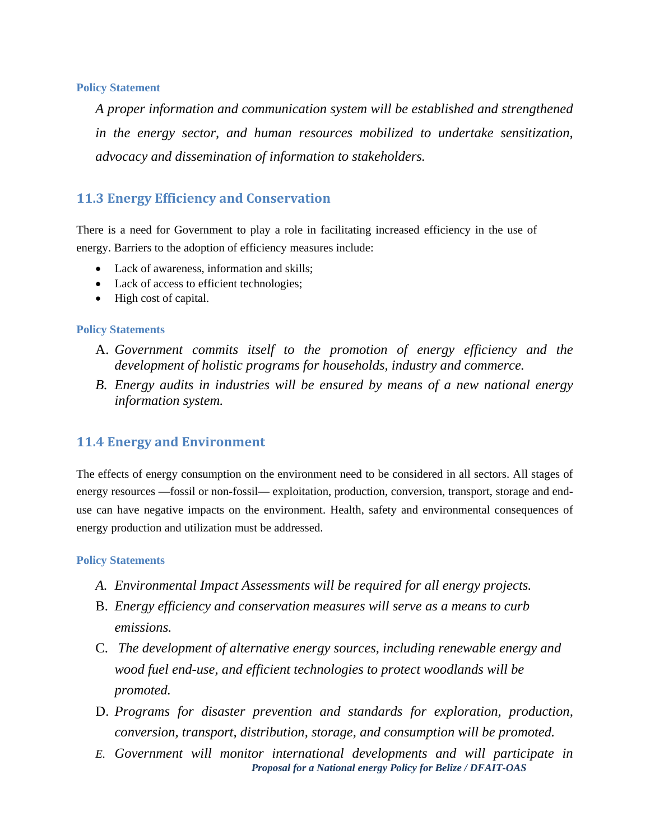#### **Policy Statement**

*A proper information and communication system will be established and strengthened in the energy sector, and human resources mobilized to undertake sensitization, advocacy and dissemination of information to stakeholders.* 

### **11.3 Energy Efficiency and Conservation**

There is a need for Government to play a role in facilitating increased efficiency in the use of energy. Barriers to the adoption of efficiency measures include:

- Lack of awareness, information and skills;
- Lack of access to efficient technologies;
- High cost of capital.

#### **Policy Statements**

- A. *Government commits itself to the promotion of energy efficiency and the development of holistic programs for households, industry and commerce.*
- *B. Energy audits in industries will be ensured by means of a new national energy information system.*

#### **11.4 Energy and Environment**

The effects of energy consumption on the environment need to be considered in all sectors. All stages of energy resources —fossil or non-fossil— exploitation, production, conversion, transport, storage and enduse can have negative impacts on the environment. Health, safety and environmental consequences of energy production and utilization must be addressed.

- *A. Environmental Impact Assessments will be required for all energy projects.*
- B. *Energy efficiency and conservation measures will serve as a means to curb emissions.*
- C. *The development of alternative energy sources, including renewable energy and wood fuel end-use, and efficient technologies to protect woodlands will be promoted.*
- D. *Programs for disaster prevention and standards for exploration, production, conversion, transport, distribution, storage, and consumption will be promoted.*
- *Proposal for a National energy Policy for Belize / DFAIT-OAS E. Government will monitor international developments and will participate in*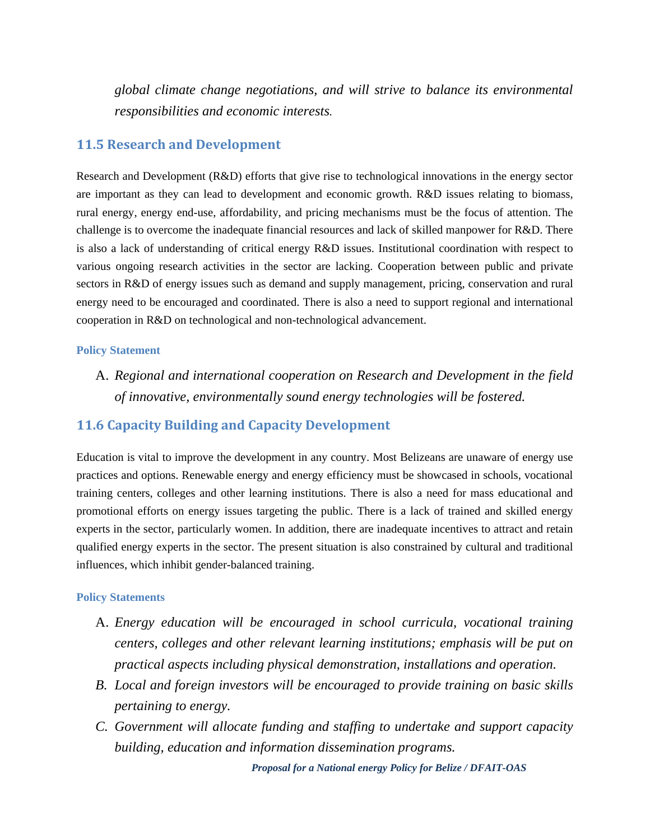*global climate change negotiations, and will strive to balance its environmental responsibilities and economic interests.* 

#### **11.5 Research and Development**

Research and Development (R&D) efforts that give rise to technological innovations in the energy sector are important as they can lead to development and economic growth. R&D issues relating to biomass, rural energy, energy end-use, affordability, and pricing mechanisms must be the focus of attention. The challenge is to overcome the inadequate financial resources and lack of skilled manpower for R&D. There is also a lack of understanding of critical energy R&D issues. Institutional coordination with respect to various ongoing research activities in the sector are lacking. Cooperation between public and private sectors in R&D of energy issues such as demand and supply management, pricing, conservation and rural energy need to be encouraged and coordinated. There is also a need to support regional and international cooperation in R&D on technological and non-technological advancement.

#### **Policy Statement**

A. *Regional and international cooperation on Research and Development in the field of innovative, environmentally sound energy technologies will be fostered.*

### **11.6 Capacity Building and Capacity Development**

Education is vital to improve the development in any country. Most Belizeans are unaware of energy use practices and options. Renewable energy and energy efficiency must be showcased in schools, vocational training centers, colleges and other learning institutions. There is also a need for mass educational and promotional efforts on energy issues targeting the public. There is a lack of trained and skilled energy experts in the sector, particularly women. In addition, there are inadequate incentives to attract and retain qualified energy experts in the sector. The present situation is also constrained by cultural and traditional influences, which inhibit gender-balanced training.

- A. *Energy education will be encouraged in school curricula, vocational training centers, colleges and other relevant learning institutions; emphasis will be put on practical aspects including physical demonstration, installations and operation.*
- *B. Local and foreign investors will be encouraged to provide training on basic skills pertaining to energy.*
- *C. Government will allocate funding and staffing to undertake and support capacity building, education and information dissemination programs.*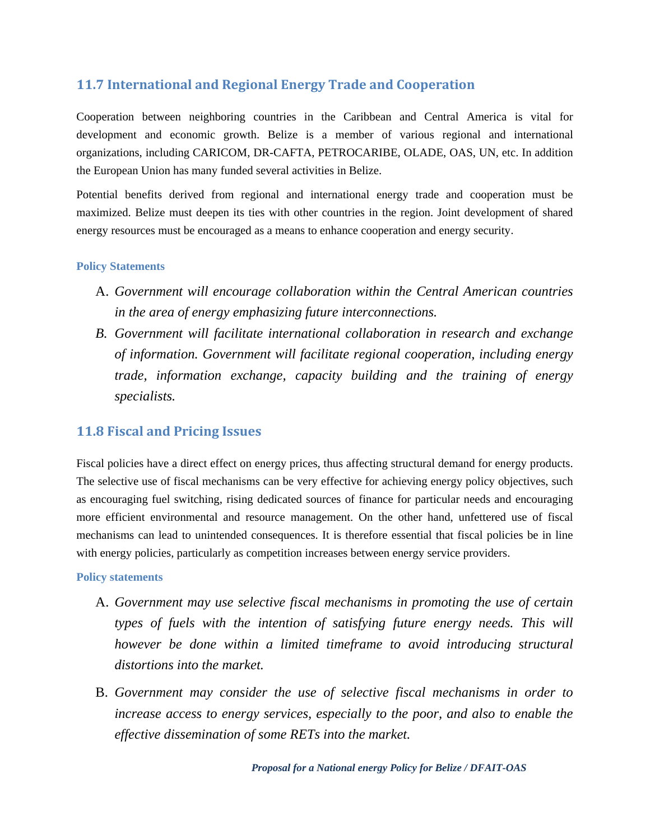## **11.7 International and Regional Energy Trade and Cooperation**

Cooperation between neighboring countries in the Caribbean and Central America is vital for development and economic growth. Belize is a member of various regional and international organizations, including CARICOM, DR-CAFTA, PETROCARIBE, OLADE, OAS, UN, etc. In addition the European Union has many funded several activities in Belize.

Potential benefits derived from regional and international energy trade and cooperation must be maximized. Belize must deepen its ties with other countries in the region. Joint development of shared energy resources must be encouraged as a means to enhance cooperation and energy security.

#### **Policy Statements**

- A. *Government will encourage collaboration within the Central American countries in the area of energy emphasizing future interconnections.*
- *B. Government will facilitate international collaboration in research and exchange of information. Government will facilitate regional cooperation, including energy trade, information exchange, capacity building and the training of energy specialists.*

## **11.8 Fiscal and Pricing Issues**

Fiscal policies have a direct effect on energy prices, thus affecting structural demand for energy products. The selective use of fiscal mechanisms can be very effective for achieving energy policy objectives, such as encouraging fuel switching, rising dedicated sources of finance for particular needs and encouraging more efficient environmental and resource management. On the other hand, unfettered use of fiscal mechanisms can lead to unintended consequences. It is therefore essential that fiscal policies be in line with energy policies, particularly as competition increases between energy service providers.

- A. *Government may use selective fiscal mechanisms in promoting the use of certain types of fuels with the intention of satisfying future energy needs. This will however be done within a limited timeframe to avoid introducing structural distortions into the market.*
- B. *Government may consider the use of selective fiscal mechanisms in order to increase access to energy services, especially to the poor, and also to enable the effective dissemination of some RETs into the market.*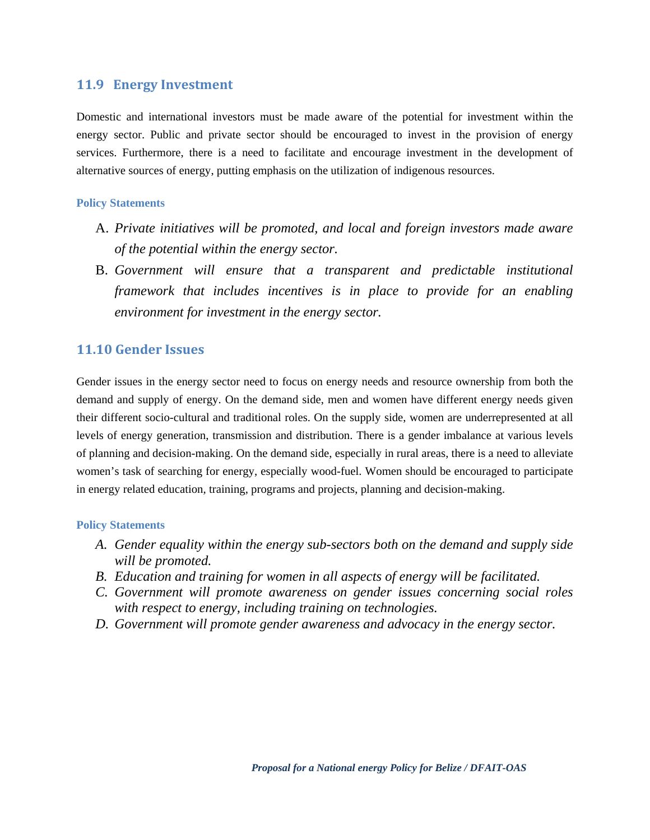#### **11.9 Energy Investment**

Domestic and international investors must be made aware of the potential for investment within the energy sector. Public and private sector should be encouraged to invest in the provision of energy services. Furthermore, there is a need to facilitate and encourage investment in the development of alternative sources of energy, putting emphasis on the utilization of indigenous resources.

#### **Policy Statements**

- A. *Private initiatives will be promoted, and local and foreign investors made aware of the potential within the energy sector.*
- B. *Government will ensure that a transparent and predictable institutional framework that includes incentives is in place to provide for an enabling environment for investment in the energy sector.*

## **11.10 Gender Issues**

Gender issues in the energy sector need to focus on energy needs and resource ownership from both the demand and supply of energy. On the demand side, men and women have different energy needs given their different socio-cultural and traditional roles. On the supply side, women are underrepresented at all levels of energy generation, transmission and distribution. There is a gender imbalance at various levels of planning and decision-making. On the demand side, especially in rural areas, there is a need to alleviate women's task of searching for energy, especially wood-fuel. Women should be encouraged to participate in energy related education, training, programs and projects, planning and decision-making.

- *A. Gender equality within the energy sub-sectors both on the demand and supply side will be promoted.*
- *B. Education and training for women in all aspects of energy will be facilitated.*
- *C. Government will promote awareness on gender issues concerning social roles with respect to energy, including training on technologies.*
- *D. Government will promote gender awareness and advocacy in the energy sector.*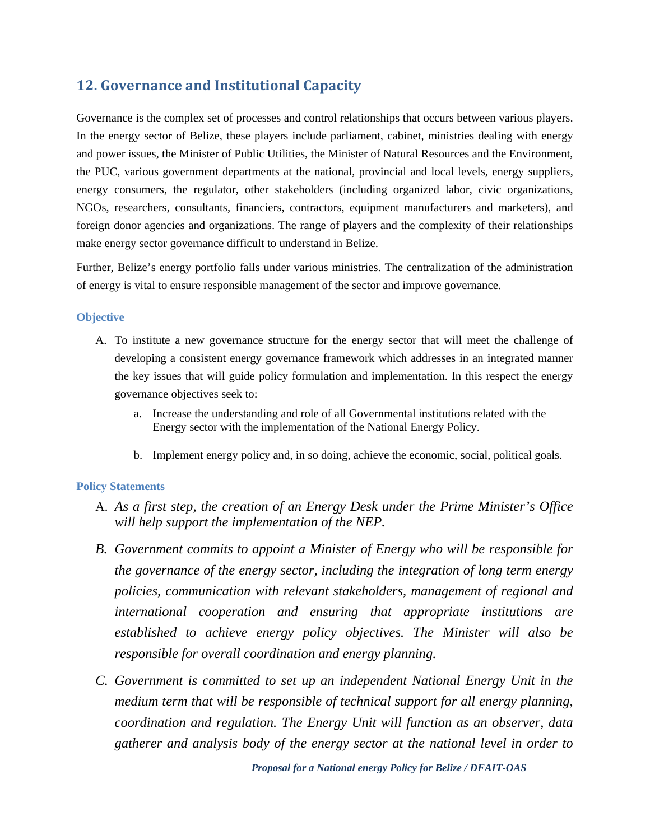## **12. Governance and Institutional Capacity**

Governance is the complex set of processes and control relationships that occurs between various players. In the energy sector of Belize, these players include parliament, cabinet, ministries dealing with energy and power issues, the Minister of Public Utilities, the Minister of Natural Resources and the Environment, the PUC, various government departments at the national, provincial and local levels, energy suppliers, energy consumers, the regulator, other stakeholders (including organized labor, civic organizations, NGOs, researchers, consultants, financiers, contractors, equipment manufacturers and marketers), and foreign donor agencies and organizations. The range of players and the complexity of their relationships make energy sector governance difficult to understand in Belize.

Further, Belize's energy portfolio falls under various ministries. The centralization of the administration of energy is vital to ensure responsible management of the sector and improve governance.

#### **Objective**

- A. To institute a new governance structure for the energy sector that will meet the challenge of developing a consistent energy governance framework which addresses in an integrated manner the key issues that will guide policy formulation and implementation. In this respect the energy governance objectives seek to:
	- a. Increase the understanding and role of all Governmental institutions related with the Energy sector with the implementation of the National Energy Policy.
	- b. Implement energy policy and, in so doing, achieve the economic, social, political goals.

- A. *As a first step, the creation of an Energy Desk under the Prime Minister's Office will help support the implementation of the NEP.*
- *B. Government commits to appoint a Minister of Energy who will be responsible for the governance of the energy sector, including the integration of long term energy policies, communication with relevant stakeholders, management of regional and international cooperation and ensuring that appropriate institutions are established to achieve energy policy objectives. The Minister will also be responsible for overall coordination and energy planning.*
- *C. Government is committed to set up an independent National Energy Unit in the medium term that will be responsible of technical support for all energy planning, coordination and regulation. The Energy Unit will function as an observer, data gatherer and analysis body of the energy sector at the national level in order to*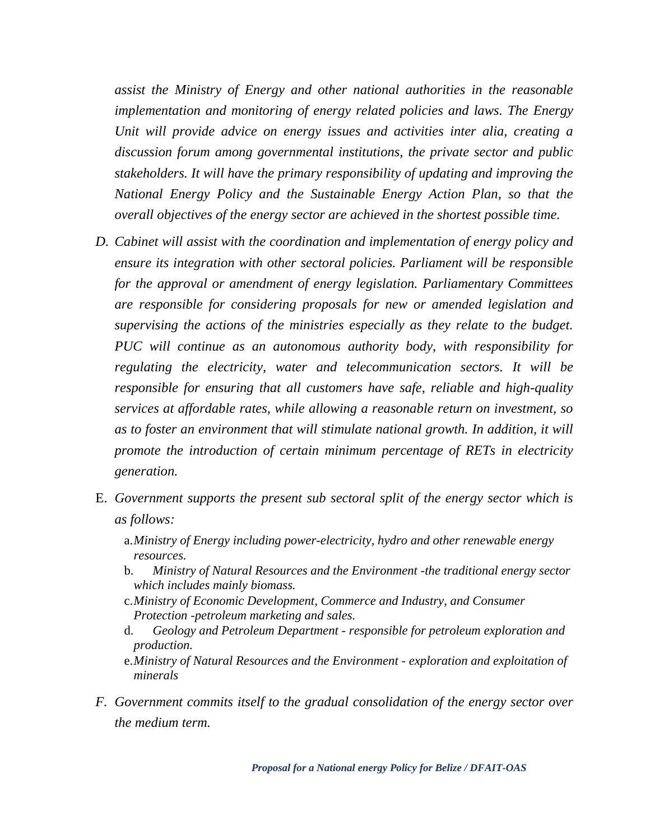*assist the Ministry of Energy and other national authorities in the reasonable implementation and monitoring of energy related policies and laws. The Energy Unit will provide advice on energy issues and activities inter alia, creating a discussion forum among governmental institutions, the private sector and public stakeholders. It will have the primary responsibility of updating and improving the National Energy Policy and the Sustainable Energy Action Plan, so that the overall objectives of the energy sector are achieved in the shortest possible time.* 

- *D. Cabinet will assist with the coordination and implementation of energy policy and ensure its integration with other sectoral policies. Parliament will be responsible for the approval or amendment of energy legislation. Parliamentary Committees are responsible for considering proposals for new or amended legislation and supervising the actions of the ministries especially as they relate to the budget. PUC will continue as an autonomous authority body, with responsibility for regulating the electricity, water and telecommunication sectors. It will be responsible for ensuring that all customers have safe, reliable and high-quality services at affordable rates, while allowing a reasonable return on investment, so as to foster an environment that will stimulate national growth. In addition, it will promote the introduction of certain minimum percentage of RETs in electricity generation.*
- E. *Government supports the present sub sectoral split of the energy sector which is as follows:* 
	- a.*Ministry of Energy including power-electricity, hydro and other renewable energy resources.*
	- b. *Ministry of Natural Resources and the Environment -the traditional energy sector which includes mainly biomass.*
	- c.*Ministry of Economic Development, Commerce and Industry, and Consumer Protection -petroleum marketing and sales.*
	- d. *Geology and Petroleum Department responsible for petroleum exploration and production.*
	- e.*Ministry of Natural Resources and the Environment exploration and exploitation of minerals*
- *F. Government commits itself to the gradual consolidation of the energy sector over the medium term.*